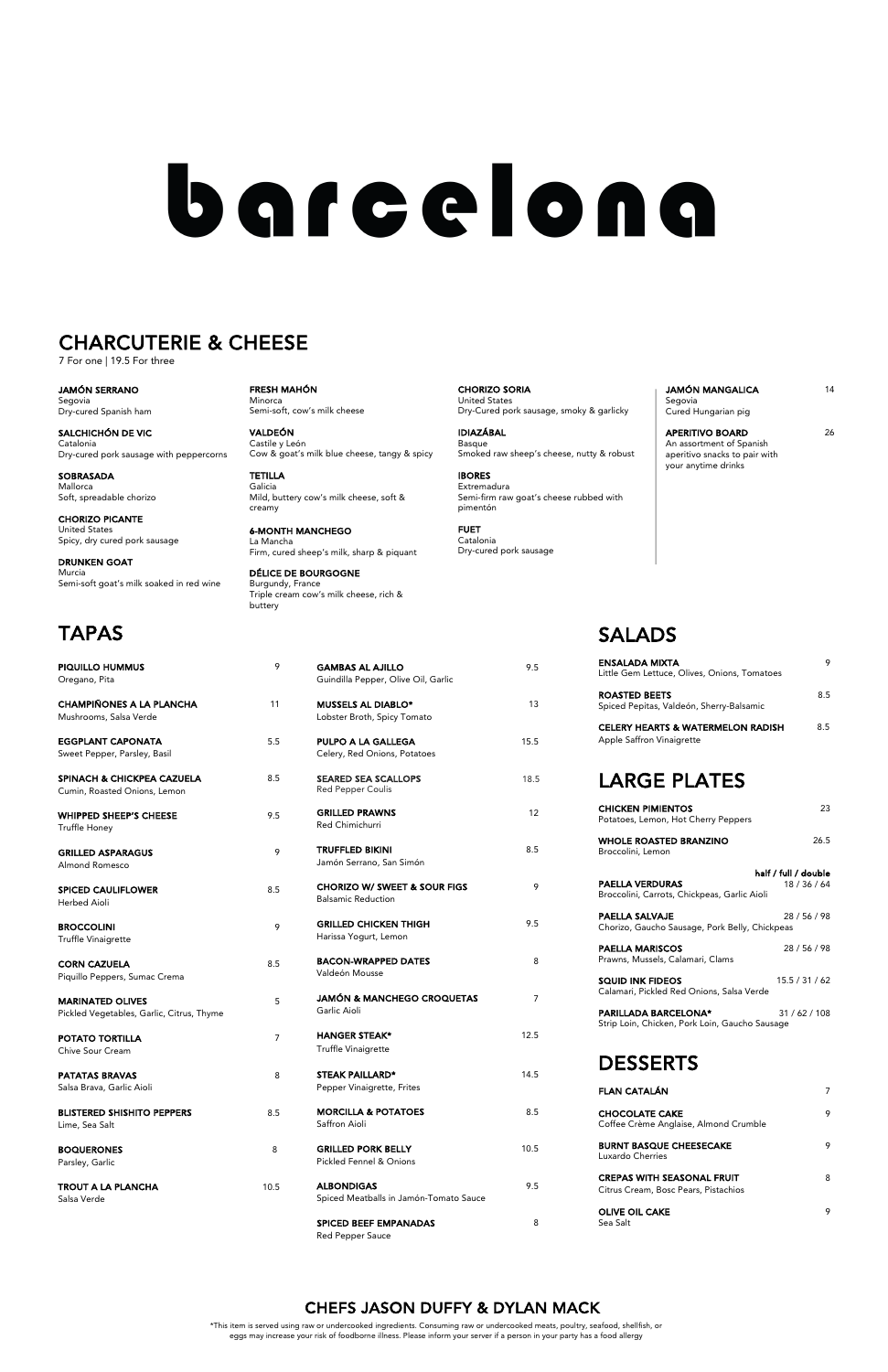| <b>GAMBAS AL AJILLO</b><br>Guindilla Pepper, Olive Oil, Garlic       | 9.5  |
|----------------------------------------------------------------------|------|
| <b>MUSSELS AL DIABLO*</b><br>Lobster Broth, Spicy Tomato             | 13   |
| PULPO A LA GALLEGA<br>Celery, Red Onions, Potatoes                   | 15.5 |
| <b>SEARED SEA SCALLOPS</b><br><b>Red Pepper Coulis</b>               | 18.5 |
| <b>GRILLED PRAWNS</b><br>Red Chimichurri                             | 12   |
| <b>TRUFFLED BIKINI</b><br>Jamón Serrano, San Simón                   | 8.5  |
| <b>CHORIZO W/ SWEET &amp; SOUR FIGS</b><br><b>Balsamic Reduction</b> | 9    |
| <b>GRILLED CHICKEN THIGH</b><br>Harissa Yogurt, Lemon                | 9.5  |
| <b>BACON-WRAPPED DATES</b><br>Valdeón Mousse                         | 8    |
| JAMÓN & MANCHEGO CROQUETAS                                           | 7    |

HANGER STEAK\* 12.5 Truffle Vinaigrette

STEAK PAILLARD\* 14.5 Pepper Vinaigrette, Frites

MORCILLA & POTATOES 8.5 Saffron Aioli

GRILLED PORK BELLY 10.5 Pickled Fennel & Onions

ALBONDIGAS 9.5 Spiced Meatballs in Jamón-Tomato Sauce

SPICED BEEF EMPANADAS 8 Red Pepper Sauce

Garlic Aioli

POTATO TORTILLA 7 Chive Sour Cream

PATATAS BRAVAS 8 Salsa Brava, Garlic Aioli BLISTERED SHISHITO PEPPERS 8.5 Lime, Sea Salt

BOQUERONES 8 Parsley, Garlic

**TROUT A LA PLANCHA** 10.5 Salsa Verde

| Oregano, Pita                                                         |     |
|-----------------------------------------------------------------------|-----|
| <b>CHAMPIÑONES A LA PLANCHA</b><br>Mushrooms, Salsa Verde             | 11  |
| <b>EGGPLANT CAPONATA</b><br>Sweet Pepper, Parsley, Basil              | 5.5 |
| <b>SPINACH &amp; CHICKPEA CAZUELA</b><br>Cumin, Roasted Onions, Lemon | 8.5 |
| <b>WHIPPED SHEEP'S CHEESE</b><br><b>Truffle Honey</b>                 | 9.5 |
| <b>GRILLED ASPARAGUS</b><br>Almond Romesco                            | 9   |
| <b>SPICED CAULIFLOWER</b><br>Herbed Aioli                             | 8.5 |
| <b>BROCCOLINI</b><br>Truffle Vinaigrette                              | 9   |
| <b>CORN CAZUELA</b><br>Piquillo Peppers, Sumac Crema                  | 8.5 |
| <b>MARINATED OLIVES</b><br>Disklaal Vaasteblee, Carlie, Citrus, Thuma | 5   |

PIQUILLO HUMMUS 9

**SQUID INK FIDEOS** 15.5 / 31 / 62 Calamari, Pickled Red Onions, Salsa Verde

PARILLADA BARCELONA\* 31/62/108 Strip Loin, Chicken, Pork Loin, Gaucho Sausage

Pickled Vegetables, Garlic, Citrus, Thyme

6-MONTH MANCHEGO La Mancha Firm, cured sheep's milk, sharp & piquant

## SALADS

APERITIVO BOARD 26 An assortment of Spanish aperitivo snacks to pair with your anytime drinks

| <b>ENSALADA MIXTA</b><br>Little Gem Lettuce, Olives, Onions, Tomatoes     | 9                    |
|---------------------------------------------------------------------------|----------------------|
| <b>ROASTED BEETS</b><br>Spiced Pepitas, Valdeón, Sherry-Balsamic          | 8.5                  |
| <b>CELERY HEARTS &amp; WATERMELON RADISH</b><br>Apple Saffron Vinaigrette | 8.5                  |
| <b>LARGE PLATES</b>                                                       |                      |
| <b>CHICKEN PIMIENTOS</b><br>Potatoes, Lemon, Hot Cherry Peppers           | 23                   |
| <b>WHOLE ROASTED BRANZINO</b><br>Broccolini, Lemon                        | 26.5                 |
|                                                                           | half / full / double |
| <b>PAELLA VERDURAS</b><br>Broccolini, Carrots, Chickpeas, Garlic Aioli    | 18 / 36 / 64         |
| <b>PAELLA SALVAJE</b><br>Chorizo, Gaucho Sausage, Pork Belly, Chickpeas   | 28 / 56 / 98         |
| <b>PAELLA MARISCOS</b><br>Prawns, Mussels, Calamari, Clams                | 28 / 56 / 98         |
|                                                                           |                      |

## DESSERTS

| <b>FLAN CATALÁN</b>                                                       |   |
|---------------------------------------------------------------------------|---|
| <b>CHOCOLATE CAKE</b><br>Coffee Crème Anglaise, Almond Crumble            | 9 |
| <b>BURNT BASQUE CHEESECAKE</b><br>Luxardo Cherries                        | 9 |
| <b>CREPAS WITH SEASONAL FRUIT</b><br>Citrus Cream, Bosc Pears, Pistachios | 8 |
| <b>OLIVE OIL CAKE</b><br>Sea Salt                                         |   |

FRESH MAHÓN Minorca Semi-soft, cow's milk cheese

VALDEÓN Castile y León Cow & goat's milk blue cheese, tangy & spicy

TETILLA Galicia Mild, buttery cow's milk cheese, soft & creamy

DÉLICE DE BOURGOGNE Burgundy, France Triple cream cow's milk cheese, rich & buttery

CHORIZO SORIA United States Dry-Cured pork sausage, smoky & garlicky

IDIAZÁBAL Basque Smoked raw sheep's cheese, nutty & robust

IBORES Extremadura Semi-firm raw goat's cheese rubbed with pimentón

FUET Catalonia Dry-cured pork sausage

| <b>JAMÓN MANGALICA</b> | 14 |
|------------------------|----|
| Segovia                |    |
| Cured Hungarian pig    |    |

JAMÓN SERRANO Segovia

Dry-cured Spanish ham

SALCHICHÓN DE VIC Catalonia Dry-cured pork sausage with peppercorns

SOBRASADA Mallorca Soft, spreadable chorizo

CHORIZO PICANTE United States Spicy, dry cured pork sausage

DRUNKEN GOAT Murcia Semi-soft goat's milk soaked in red wine

# barcelona

## CHARCUTERIE & CHEESE

7 For one | 19.5 For three

\*This item is served using raw or undercooked ingredients. Consuming raw or undercooked meats, poultry, seafood, shellfish, or eggs may increase your risk of foodborne illness. Please inform your server if a person in your party has a food allergy

## CHEFS JASON DUFFY & DYLAN MACK

## TAPAS